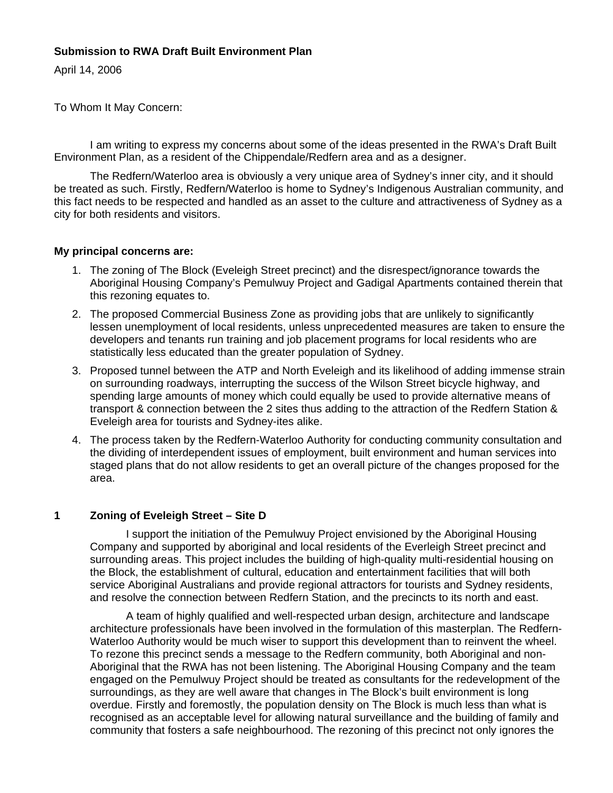# **Submission to RWA Draft Built Environment Plan**

April 14, 2006

To Whom It May Concern:

 I am writing to express my concerns about some of the ideas presented in the RWA's Draft Built Environment Plan, as a resident of the Chippendale/Redfern area and as a designer.

 The Redfern/Waterloo area is obviously a very unique area of Sydney's inner city, and it should be treated as such. Firstly, Redfern/Waterloo is home to Sydney's Indigenous Australian community, and this fact needs to be respected and handled as an asset to the culture and attractiveness of Sydney as a city for both residents and visitors.

## **My principal concerns are:**

- 1. The zoning of The Block (Eveleigh Street precinct) and the disrespect/ignorance towards the Aboriginal Housing Company's Pemulwuy Project and Gadigal Apartments contained therein that this rezoning equates to.
- 2. The proposed Commercial Business Zone as providing jobs that are unlikely to significantly lessen unemployment of local residents, unless unprecedented measures are taken to ensure the developers and tenants run training and job placement programs for local residents who are statistically less educated than the greater population of Sydney.
- 3. Proposed tunnel between the ATP and North Eveleigh and its likelihood of adding immense strain on surrounding roadways, interrupting the success of the Wilson Street bicycle highway, and spending large amounts of money which could equally be used to provide alternative means of transport & connection between the 2 sites thus adding to the attraction of the Redfern Station & Eveleigh area for tourists and Sydney-ites alike.
- 4. The process taken by the Redfern-Waterloo Authority for conducting community consultation and the dividing of interdependent issues of employment, built environment and human services into staged plans that do not allow residents to get an overall picture of the changes proposed for the area.

# **1 Zoning of Eveleigh Street – Site D**

 I support the initiation of the Pemulwuy Project envisioned by the Aboriginal Housing Company and supported by aboriginal and local residents of the Everleigh Street precinct and surrounding areas. This project includes the building of high-quality multi-residential housing on the Block, the establishment of cultural, education and entertainment facilities that will both service Aboriginal Australians and provide regional attractors for tourists and Sydney residents, and resolve the connection between Redfern Station, and the precincts to its north and east.

 A team of highly qualified and well-respected urban design, architecture and landscape architecture professionals have been involved in the formulation of this masterplan. The Redfern-Waterloo Authority would be much wiser to support this development than to reinvent the wheel. To rezone this precinct sends a message to the Redfern community, both Aboriginal and non-Aboriginal that the RWA has not been listening. The Aboriginal Housing Company and the team engaged on the Pemulwuy Project should be treated as consultants for the redevelopment of the surroundings, as they are well aware that changes in The Block's built environment is long overdue. Firstly and foremostly, the population density on The Block is much less than what is recognised as an acceptable level for allowing natural surveillance and the building of family and community that fosters a safe neighbourhood. The rezoning of this precinct not only ignores the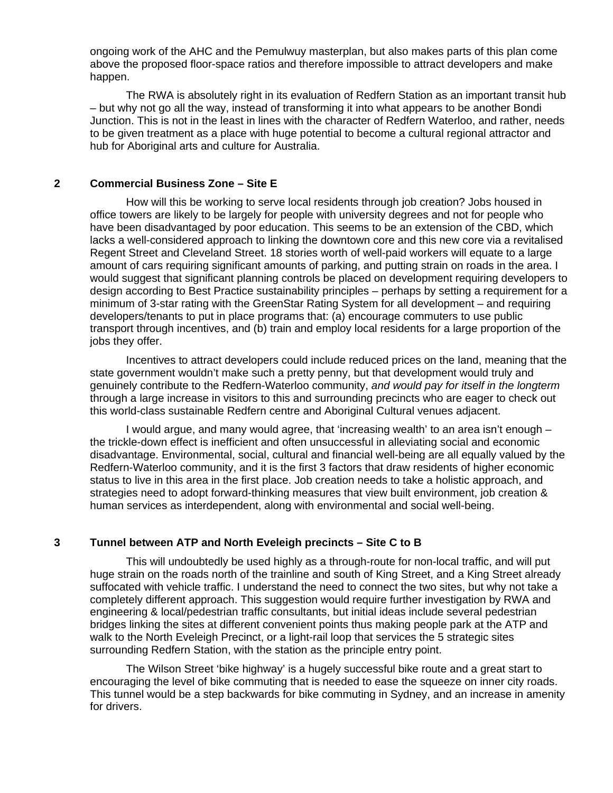ongoing work of the AHC and the Pemulwuy masterplan, but also makes parts of this plan come above the proposed floor-space ratios and therefore impossible to attract developers and make happen.

 The RWA is absolutely right in its evaluation of Redfern Station as an important transit hub – but why not go all the way, instead of transforming it into what appears to be another Bondi Junction. This is not in the least in lines with the character of Redfern Waterloo, and rather, needs to be given treatment as a place with huge potential to become a cultural regional attractor and hub for Aboriginal arts and culture for Australia.

#### **2 Commercial Business Zone – Site E**

 How will this be working to serve local residents through job creation? Jobs housed in office towers are likely to be largely for people with university degrees and not for people who have been disadvantaged by poor education. This seems to be an extension of the CBD, which lacks a well-considered approach to linking the downtown core and this new core via a revitalised Regent Street and Cleveland Street. 18 stories worth of well-paid workers will equate to a large amount of cars requiring significant amounts of parking, and putting strain on roads in the area. I would suggest that significant planning controls be placed on development requiring developers to design according to Best Practice sustainability principles – perhaps by setting a requirement for a minimum of 3-star rating with the GreenStar Rating System for all development – and requiring developers/tenants to put in place programs that: (a) encourage commuters to use public transport through incentives, and (b) train and employ local residents for a large proportion of the jobs they offer.

 Incentives to attract developers could include reduced prices on the land, meaning that the state government wouldn't make such a pretty penny, but that development would truly and genuinely contribute to the Redfern-Waterloo community, *and would pay for itself in the longterm* through a large increase in visitors to this and surrounding precincts who are eager to check out this world-class sustainable Redfern centre and Aboriginal Cultural venues adjacent.

 I would argue, and many would agree, that 'increasing wealth' to an area isn't enough – the trickle-down effect is inefficient and often unsuccessful in alleviating social and economic disadvantage. Environmental, social, cultural and financial well-being are all equally valued by the Redfern-Waterloo community, and it is the first 3 factors that draw residents of higher economic status to live in this area in the first place. Job creation needs to take a holistic approach, and strategies need to adopt forward-thinking measures that view built environment, job creation & human services as interdependent, along with environmental and social well-being.

### **3 Tunnel between ATP and North Eveleigh precincts – Site C to B**

 This will undoubtedly be used highly as a through-route for non-local traffic, and will put huge strain on the roads north of the trainline and south of King Street, and a King Street already suffocated with vehicle traffic. I understand the need to connect the two sites, but why not take a completely different approach. This suggestion would require further investigation by RWA and engineering & local/pedestrian traffic consultants, but initial ideas include several pedestrian bridges linking the sites at different convenient points thus making people park at the ATP and walk to the North Eveleigh Precinct, or a light-rail loop that services the 5 strategic sites surrounding Redfern Station, with the station as the principle entry point.

 The Wilson Street 'bike highway' is a hugely successful bike route and a great start to encouraging the level of bike commuting that is needed to ease the squeeze on inner city roads. This tunnel would be a step backwards for bike commuting in Sydney, and an increase in amenity for drivers.